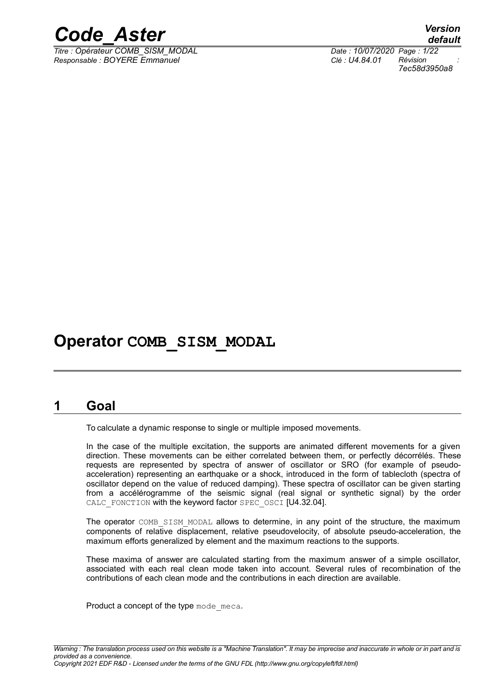

*Titre : Opérateur COMB\_SISM\_MODAL Date : 10/07/2020 Page : 1/22 Responsable : BOYERE Emmanuel Clé : U4.84.01 Révision :*

*default 7ec58d3950a8*

## **Operator COMB\_SISM\_MODAL**

## **1 Goal**

To calculate a dynamic response to single or multiple imposed movements.

In the case of the multiple excitation, the supports are animated different movements for a given direction. These movements can be either correlated between them, or perfectly décorrélés. These requests are represented by spectra of answer of oscillator or SRO (for example of pseudoacceleration) representing an earthquake or a shock, introduced in the form of tablecloth (spectra of oscillator depend on the value of reduced damping). These spectra of oscillator can be given starting from a accélérogramme of the seismic signal (real signal or synthetic signal) by the order CALC\_FONCTION with the keyword factor SPEC\_OSCI [U4.32.04].

The operator COMB SISM MODAL allows to determine, in any point of the structure, the maximum components of relative displacement, relative pseudovelocity, of absolute pseudo-acceleration, the maximum efforts generalized by element and the maximum reactions to the supports.

These maxima of answer are calculated starting from the maximum answer of a simple oscillator, associated with each real clean mode taken into account. Several rules of recombination of the contributions of each clean mode and the contributions in each direction are available.

Product a concept of the type mode meca.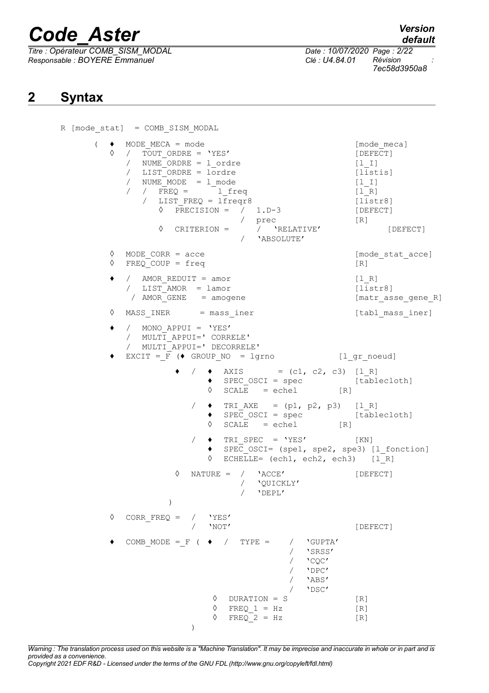*Titre : Opérateur COMB\_SISM\_MODAL Date : 10/07/2020 Page : 2/22 Responsable : BOYERE Emmanuel Clé : U4.84.01 Révision :*

*default*

*7ec58d3950a8*

## **2 Syntax**

```
R [mode_stat] = COMB_SISM_MODAL 
     ( \bullet MODE_MECA = mode \circ [mode_meca] [mode_meca]
          / TOUT ORDRE = 'YES' [DEFECT]
          / NUME ORDRE = 1 ordre [l I]
          / LIST ORDRE = lordre [listis]
            \texttt{NUMBER} = 1 \text{ mode} [l I]
            \overline{R} / FREQ = \overline{L} if req \overline{L} [i_R]
             / LIST FREQ = lfreqr8 [listr8]
               \Diamond PRECISION = / 1.D-3 [DEFECT]
                            / prec [R]
               ◊ CRITERION = / 'RELATIVE' [DEFECT]
                            / 'ABSOLUTE'
       ◊ MODE CORR = acce [mode stat acce]
       ◊ FREQ_COUP = freq [R]
       ♦ / AMOR_REDUIT = amor [l_R]
          / LIST_AMOR = lamor [listr8]
          / AMOR GENE = amogene [matr asse gene R]
       ◊ MASS INER = mass iner [tabl mass iner]
          / MONO APPUI = 'YES'/ MULTI_APPUI=' CORRELE'
          / MULTI_APPUI=' DECORRELE'
         EXCIT = F (\blacklozenge GROUP NO = lgrno [l gr_noeud]
                       \triangleleft AXIS = (c1, c2, c3) [1 R]
                       ♦ SPEC_OSCI = spec [tablecloth]
                       \sqrt{8} SCALE = echel [R]
                    / \arrow TRI_AXE = (p1, p2, p3) [1_R]
                       \triangleleft SPEC_OSCI = spec [tablecloth]
                       \Diamond SCALE = echel [R]
                       \blacklozenge TRI SPEC = 'YES' [KN]
                       ♦ SPEC_OSCI= (spe1, spe2, spe3) [l_fonction]
                       \sqrt{1 - R} ECHELLE= (ech1, ech2, ech3) [1 - R]◊ NATURE = / 'ACCE' [DEFECT]
                            / 'QUICKLY'
                            / 'DEPL'
                  )
       ◊ CORR_FREQ = / 'YES'
                    / 'NOT' [DEFECT]
          COMB MODE = F (\rightarrow / TYPE = / 'GUPTA'
                                    / 'SRSS'
                                    / 'COC'
                                    / 'DPC'
                                       / 'ABS'
                                       / 'DSC'
                         ◊ DURATION = S [R]
                        \Diamond FREQ 1 = Hz [R]
                        \sqrt{PREQ} = Hz [R]
                    )
```
*Warning : The translation process used on this website is a "Machine Translation". It may be imprecise and inaccurate in whole or in part and is provided as a convenience. Copyright 2021 EDF R&D - Licensed under the terms of the GNU FDL (http://www.gnu.org/copyleft/fdl.html)*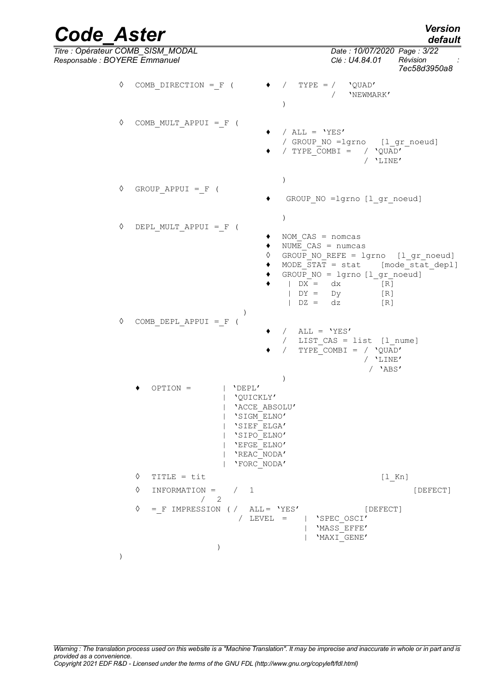| <b>Version</b> |  |
|----------------|--|
| default        |  |

| <b>Code Aster</b>                                                  |               |                                                             | <b>Version</b><br>default                                                                                                                                                                                                                                  |
|--------------------------------------------------------------------|---------------|-------------------------------------------------------------|------------------------------------------------------------------------------------------------------------------------------------------------------------------------------------------------------------------------------------------------------------|
| Titre : Opérateur COMB_SISM_MODAL<br>Responsable : BOYERE Emmanuel |               |                                                             | Date: 10/07/2020 Page: 3/22<br>Révision<br>Clé : U4.84.01<br>7ec58d3950a8                                                                                                                                                                                  |
|                                                                    | ♦             | COMB DIRECTION = $F$ (                                      | $TYPE = /$<br>$\sqrt{2}$<br>'QUAD'<br>'NEWMARK'                                                                                                                                                                                                            |
|                                                                    | ♦             | COMB MULT APPUI = $F$ (                                     | / $ALL = 'YES'$<br>/ GROUP NO =lgrno [l gr noeud]<br>/ TYPE COMBI = $/$ 'QUAD'<br>/ 'LINE'                                                                                                                                                                 |
|                                                                    | ♦             | GROUP APPUI = $F$ (                                         | GROUP NO =lgrno [l gr noeud]                                                                                                                                                                                                                               |
|                                                                    | ♦             | DEPL MULT APPUI = F (                                       | $\mathcal{E}$<br>NOM $CAS = nomcas$<br>NUME $CAS = numcas$<br>♦<br>GROUP NO REFE = lgrno [l gr noeud]<br>MODE STAT = stat [mode stat depl]<br>GROUP $NO = 1$ grno $[1 gr_{\text{noeud}}]$<br>$\big $ DX = dx<br>[R]<br>$\big $ DY = Dy<br>[R]<br>$DZ = dz$ |
|                                                                    | ♦             | COMB DEPL APPUI = $F$ (                                     | [R]<br>/ $ALL = 'YES'$<br>/ LIST CAS = list [1_nume]<br>TYPE COMBI = $/$ 'QUAD'<br>$\sqrt{2}$<br>/ 'LINE'<br>$/$ 'ABS'                                                                                                                                     |
|                                                                    |               | $OPTION =$<br>  'DEPL'                                      | $\lambda$<br>'QUICKLY'<br>'ACCE ABSOLU'<br>'SIGM ELNO'<br>'SIEF ELGA'<br>'SIPO ELNO'<br>'EFGE ELNO'<br>'REAC NODA'<br>'FORC NODA'                                                                                                                          |
|                                                                    |               | ♦<br>TITLE = tit                                            | $[1$ Kn]                                                                                                                                                                                                                                                   |
|                                                                    |               | ♦<br>$INFORMATION = /$                                      | $\mathbf{1}$<br>[DEFECT]                                                                                                                                                                                                                                   |
|                                                                    |               | /2<br>♦<br>$=$ F IMPRESSION ( / ALL= 'YES'<br>$\mathcal{C}$ | [DEFECT]<br>/ $LEVEL =$<br>'SPEC OSCI'<br>'MASS EFFE'<br>'MAXI GENE'                                                                                                                                                                                       |
|                                                                    | $\mathcal{E}$ |                                                             |                                                                                                                                                                                                                                                            |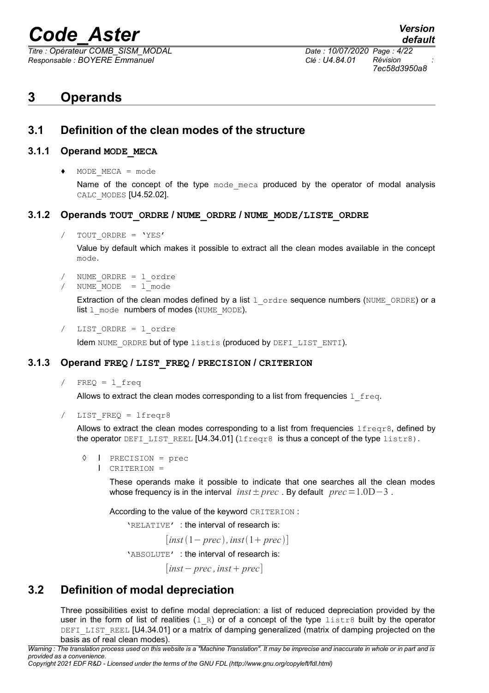*Titre : Opérateur COMB\_SISM\_MODAL Date : 10/07/2020 Page : 4/22 Responsable : BOYERE Emmanuel Clé : U4.84.01 Révision :*

*7ec58d3950a8*

## **3 Operands**

## **3.1 Definition of the clean modes of the structure**

#### **3.1.1 Operand MODE\_MECA**

♦ MODE\_MECA = mode

Name of the concept of the type mode meca produced by the operator of modal analysis CALC\_MODES [U4.52.02].

#### **3.1.2 Operands TOUT\_ORDRE / NUME\_ORDRE / NUME\_MODE/LISTE\_ORDRE**

TOUT ORDRE = 'YES'

Value by default which makes it possible to extract all the clean modes available in the concept mode.

- / NUME\_ORDRE = l\_ordre
- NUME  $MODE = 1$  mode

Extraction of the clean modes defined by a list  $1$  ordre sequence numbers (NUME\_ORDRE) or a  $list 1$  mode numbers of modes (NUME MODE).

/ LIST\_ORDRE = l\_ordre

Idem NUME ORDRE but of type listis (produced by DEFI LIST ENTI).

### **3.1.3 Operand FREQ / LIST\_FREQ / PRECISION / CRITERION**

 $/$  FREQ = 1 freq

Allows to extract the clean modes corresponding to a list from frequencies  $1$  freq.

LIST  $FREQ = 1freqr8$ 

Allows to extract the clean modes corresponding to a list from frequencies  $l$  freqr8, defined by the operator DEFILIST REEL  $[U4.34.01]$  (lfreqr8 is thus a concept of the type listr8).

- ◊ I PRECISION = prec
	- I CRITERION =

These operands make it possible to indicate that one searches all the clean modes whose frequency is in the interval  $inst \pm prec$ . By default  $prec=1.0D-3$ .

According to the value of the keyword CRITERION :

'RELATIVE' : the interval of research is:

 $[inst(1-prec), inst(1+prec)]$ 

'ABSOLUTE' : the interval of research is:

 $|inst-prec, inst+prec|$ 

## **3.2 Definition of modal depreciation**

Three possibilities exist to define modal depreciation: a list of reduced depreciation provided by the user in the form of list of realities  $(1, R)$  or of a concept of the type  $listr8$  built by the operator DEFILIST REEL [U4.34.01] or a matrix of damping generalized (matrix of damping projected on the basis as of real clean modes).

*Warning : The translation process used on this website is a "Machine Translation". It may be imprecise and inaccurate in whole or in part and is provided as a convenience.*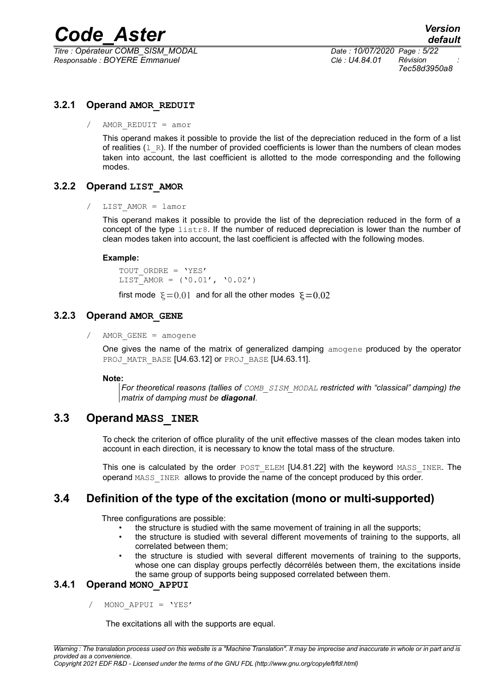*Titre : Opérateur COMB\_SISM\_MODAL Date : 10/07/2020 Page : 5/22 Responsable : BOYERE Emmanuel Clé : U4.84.01 Révision :*

*7ec58d3950a8*

## **3.2.1 Operand AMOR\_REDUIT**

/ AMOR REDUIT =  $amor$ 

This operand makes it possible to provide the list of the depreciation reduced in the form of a list of realities  $(1, R)$ . If the number of provided coefficients is lower than the numbers of clean modes taken into account, the last coefficient is allotted to the mode corresponding and the following modes.

### **3.2.2 Operand LIST\_AMOR**

/ LIST\_AMOR = lamor

This operand makes it possible to provide the list of the depreciation reduced in the form of a concept of the type listr8. If the number of reduced depreciation is lower than the number of clean modes taken into account, the last coefficient is affected with the following modes.

#### **Example:**

TOUT ORDRE = 'YES'  $LIST<sup>-</sup>AMOR = ('0.01', '0.02')$ 

first mode  $\xi = 0.01$  and for all the other modes  $\xi = 0.02$ 

#### **3.2.3 Operand AMOR\_GENE**

/ AMOR GENE = amogene

One gives the name of the matrix of generalized damping  $\Delta m \propto$  produced by the operator PROJ MATR BASE [U4.63.12] or PROJ BASE [U4.63.11].

#### **Note:**

*For theoretical reasons (tallies of COMB\_SISM\_MODAL restricted with "classical" damping) the matrix of damping must be diagonal.*

## **3.3 Operand MASS\_INER**

To check the criterion of office plurality of the unit effective masses of the clean modes taken into account in each direction, it is necessary to know the total mass of the structure.

This one is calculated by the order POST\_ELEM [U4.81.22] with the keyword MASS\_INER. The operand MASS INER allows to provide the name of the concept produced by this order.

## **3.4 Definition of the type of the excitation (mono or multi-supported)**

Three configurations are possible:

- the structure is studied with the same movement of training in all the supports;
- the structure is studied with several different movements of training to the supports, all correlated between them;
- the structure is studied with several different movements of training to the supports, whose one can display groups perfectly décorrélés between them, the excitations inside the same group of supports being supposed correlated between them.

#### **3.4.1 Operand MONO\_APPUI**

/ MONO\_APPUI = 'YES'

The excitations all with the supports are equal.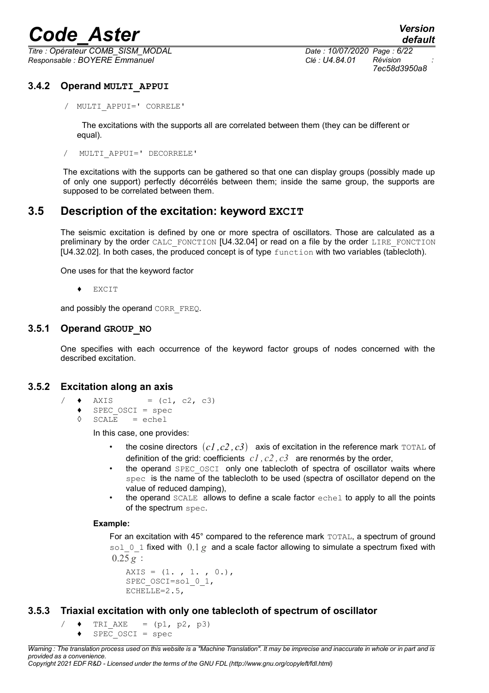*Titre : Opérateur COMB\_SISM\_MODAL Date : 10/07/2020 Page : 6/22 Responsable : BOYERE Emmanuel Clé : U4.84.01 Révision :*

*7ec58d3950a8*

## **3.4.2 Operand MULTI\_APPUI**

/ MULTI\_APPUI=' CORRELE'

The excitations with the supports all are correlated between them (they can be different or equal).

/ MULTI\_APPUI=' DECORRELE'

The excitations with the supports can be gathered so that one can display groups (possibly made up of only one support) perfectly décorrélés between them; inside the same group, the supports are supposed to be correlated between them.

## **3.5 Description of the excitation: keyword EXCIT**

The seismic excitation is defined by one or more spectra of oscillators. Those are calculated as a preliminary by the order CALC\_FONCTION [U4.32.04] or read on a file by the order LIRE\_FONCTION [U4.32.02]. In both cases, the produced concept is of type function with two variables (tablecloth).

One uses for that the keyword factor

♦ EXCIT

and possibly the operand CORR\_FREQ.

#### **3.5.1 Operand GROUP\_NO**

One specifies with each occurrence of the keyword factor groups of nodes concerned with the described excitation.

#### **3.5.2 Excitation along an axis**

- $/ \bullet$  AXIS = (c1, c2, c3)
	- $\triangle$  SPEC\_OSCI = spec<br>  $\triangle$  SCALE = echel
	- $SCALE$  = echel

In this case, one provides:

- the cosine directors  $(cl, c2, c3)$  axis of excitation in the reference mark TOTAL of definition of the grid: coefficients *c1 , c2 , c3* are renormés by the order,
- the operand SPEC OSCI only one tablecloth of spectra of oscillator waits where spec is the name of the tablecloth to be used (spectra of oscillator depend on the value of reduced damping),
- the operand  $SCALE$  allows to define a scale factor  $echel$  to apply to all the points of the spectrum spec.

#### **Example:**

For an excitation with 45° compared to the reference mark TOTAL, a spectrum of ground sol 0.1 fixed with  $0.1 \varrho$  and a scale factor allowing to simulate a spectrum fixed with  $0.25 g$ :

```
AXIS = (1, 1, 1, 0.)SPEC_OSCI=sol_0_1,
ECHELLE=2.5,
```
### **3.5.3 Triaxial excitation with only one tablecloth of spectrum of oscillator**

```
/ \arrow TRI AXE = (p1, p2, p3)
    \triangleleft SPEC OSCI = spec
```
*Warning : The translation process used on this website is a "Machine Translation". It may be imprecise and inaccurate in whole or in part and is provided as a convenience.*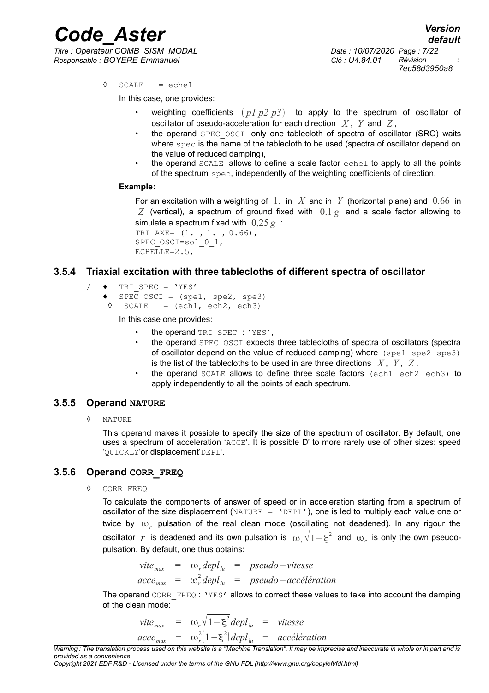*Titre : Opérateur COMB\_SISM\_MODAL Date : 10/07/2020 Page : 7/22 Responsable : BOYERE Emmanuel Clé : U4.84.01 Révision :*

*7ec58d3950a8*

 $\Diamond$  SCALE = echel

In this case, one provides:

- weighting coefficients  $(p1 p2 p3)$  to apply to the spectrum of oscillator of oscillator of pseudo-acceleration for each direction *X* , *Y* and *Z* ,
- the operand SPEC OSCI only one tablecloth of spectra of oscillator (SRO) waits where spec is the name of the tablecloth to be used (spectra of oscillator depend on the value of reduced damping),
- the operand SCALE allows to define a scale factor echel to apply to all the points of the spectrum spec, independently of the weighting coefficients of direction.

#### **Example:**

For an excitation with a weighting of 1. in *X* and in *Y* (horizontal plane) and 0.66 in  $Z$  (vertical), a spectrum of ground fixed with  $0.1 g$  and a scale factor allowing to simulate a spectrum fixed with 0,25 *g* :

TRI AXE=  $(1. , 1. , 0.66)$ , SPEC\_OSCI=sol\_0\_1, ECHELLE=2.5,

#### **3.5.4 Triaxial excitation with three tablecloths of different spectra of oscillator**

- $\triangle$  TRI SPEC = 'YES'
	- $SPEC$  OSCI = (spe1, spe2, spe3)
	- $\Diamond$  SCALE = (ech1, ech2, ech3)

In this case one provides:

- the operand TRI SPEC : 'YES'.
- the operand SPEC\_OSCI expects three tablecloths of spectra of oscillators (spectra of oscillator depend on the value of reduced damping) where (spe1 spe2 spe3) is the list of the tablecloths to be used in are three directions *X* , *Y* , *Z* .
- the operand SCALE allows to define three scale factors (ech1 ech2 ech3) to apply independently to all the points of each spectrum.

#### **3.5.5 Operand NATURE**

◊ NATURE

This operand makes it possible to specify the size of the spectrum of oscillator. By default, one uses a spectrum of acceleration 'ACCE'. It is possible D' to more rarely use of other sizes: speed 'QUICKLY'or displacement'DEPL'.

#### **3.5.6 Operand CORR\_FREQ**

CORR\_FREQ

To calculate the components of answer of speed or in acceleration starting from a spectrum of oscillator of the size displacement (NATURE =  $'DEFL'$ ), one is led to multiply each value one or twice by  $\omega_r$  pulsation of the real clean mode (oscillating not deadened). In any rigour the oscillator  $\,r\,$  is deadened and its own pulsation is  $\,\omega_{_r}\sqrt{1\!-\! \xi^2}\,$  and  $\,\omega_{_r}\,$  is only the own pseudopulsation. By default, one thus obtains:

$$
vite_{max} = \omega_r depl_{lu} = pseudo-vitesse
$$
  

$$
accept_{max} = \omega_r^2 depl_{lu} = pseudo-accelération
$$

The operand CORR  $FREQ$ : 'YES' allows to correct these values to take into account the damping of the clean mode:

$$
vite_{max} = \omega_r \sqrt{1 - \xi^2} \, depl_{lu} = vitesse
$$
  

$$
acce_{max} = \omega_r^2 (1 - \xi^2) \, depl_{lu} = acc\'elération
$$

*Warning : The translation process used on this website is a "Machine Translation". It may be imprecise and inaccurate in whole or in part and is provided as a convenience.*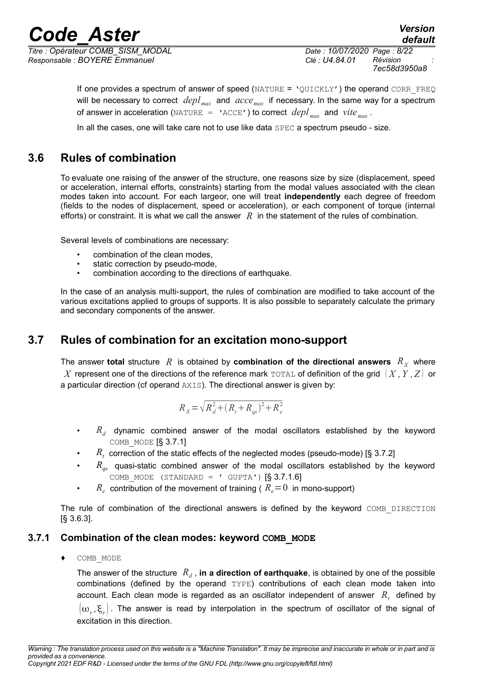*Titre : Opérateur COMB\_SISM\_MODAL Date : 10/07/2020 Page : 8/22 Responsable : BOYERE Emmanuel Clé : U4.84.01 Révision :*

*7ec58d3950a8*

*default*

If one provides a spectrum of answer of speed ( $NATURE = 'QUICKLY'$ ) the operand CORR FREQ will be necessary to correct *deplmax* and *accemax* if necessary. In the same way for a spectrum of answer in acceleration (NATURE = 'ACCE') to correct  $depl_{max}$  and  $vite_{max}$ .

In all the cases, one will take care not to use like data SPEC a spectrum pseudo - size.

## **3.6 Rules of combination**

To evaluate one raising of the answer of the structure, one reasons size by size (displacement, speed or acceleration, internal efforts, constraints) starting from the modal values associated with the clean modes taken into account. For each largeor, one will treat **independently** each degree of freedom (fields to the nodes of displacement, speed or acceleration), or each component of torque (internal efforts) or constraint. It is what we call the answer *R* in the statement of the rules of combination.

Several levels of combinations are necessary:

- combination of the clean modes.
- static correction by pseudo-mode,
- combination according to the directions of earthquake.

In the case of an analysis multi-support, the rules of combination are modified to take account of the various excitations applied to groups of supports. It is also possible to separately calculate the primary and secondary components of the answer.

## **3.7 Rules of combination for an excitation mono-support**

The answer total structure  $|R|$  is obtained by combination of the directional answers  $|R_X|$  where *X* represent one of the directions of the reference mark TOTAL of definition of the grid *X ,Y ,Z* or a particular direction (cf operand AXIS). The directional answer is given by:

$$
R_{X} = \sqrt{R_d^2 + (R_t + R_{qs})^2 + R_e^2}
$$

- *R<sup>d</sup>* dynamic combined answer of the modal oscillators established by the keyword COMB MODE  $[§ 3.7.1]$
- *R<sub>t</sub>* correction of the static effects of the neglected modes (pseudo-mode) [§ 3.7.2]
- $R_{\alpha}$  quasi-static combined answer of the modal oscillators established by the keyword COMB MODE (STANDARD = ' GUPTA')  $[\S 3.7.1.6]$
- $R_e$  contribution of the movement of training (  $R_e$  = 0 in mono-support)

The rule of combination of the directional answers is defined by the keyword COMB DIRECTION [§ 3.6.3].

#### **3.7.1 Combination of the clean modes: keyword COMB\_MODE**

♦ COMB\_MODE

The answer of the structure  $|R_d$  , **in a direction of earthquake**, is obtained by one of the possible combinations (defined by the operand TYPE) contributions of each clean mode taken into account. Each clean mode is regarded as an oscillator independent of answer  $R<sub>r</sub>$  defined by  $(\omega_r, \xi_r)$  . The answer is read by interpolation in the spectrum of oscillator of the signal of excitation in this direction.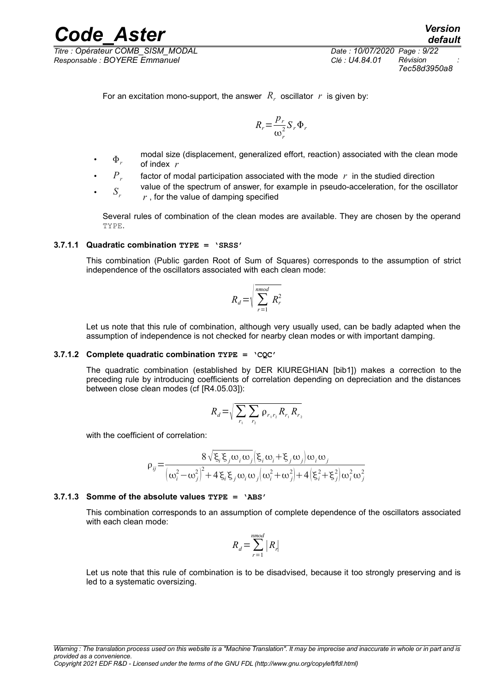*Titre : Opérateur COMB\_SISM\_MODAL Date : 10/07/2020 Page : 9/22 Responsable : BOYERE Emmanuel Clé : U4.84.01 Révision :*

*7ec58d3950a8*

For an excitation mono-support, the answer  $R_r$  oscillator  $r$  is given by:

$$
R_r = \frac{p_r}{\omega_r^2} S_r \Phi_r
$$

- $\Phi_r$ modal size (displacement, generalized effort, reaction) associated with the clean mode of index *r*
- $P_{r}$ factor of modal participation associated with the mode *r* in the studied direction
	- $S_r$ value of the spectrum of answer, for example in pseudo-acceleration, for the oscillator *r* , for the value of damping specified

Several rules of combination of the clean modes are available. They are chosen by the operand TYPE.

#### **3.7.1.1 Quadratic combination TYPE = 'SRSS'**

This combination (Public garden Root of Sum of Squares) corresponds to the assumption of strict independence of the oscillators associated with each clean mode:

$$
R_d = \sqrt{\sum_{r=1}^{nmod} R_r^2}
$$

Let us note that this rule of combination, although very usually used, can be badly adapted when the assumption of independence is not checked for nearby clean modes or with important damping.

#### **3.7.1.2 Complete quadratic combination TYPE = 'CQC'**

The quadratic combination (established by DER KIUREGHIAN [bib1]) makes a correction to the preceding rule by introducing coefficients of correlation depending on depreciation and the distances between close clean modes (cf [R4.05.03]):

$$
R_d = \sqrt{\sum_{r_1} \sum_{r_2} \rho_{r_1 r_2} R_{r_1} R_{r_2}}
$$

with the coefficient of correlation:

$$
\rho_{ij} = \frac{8\sqrt{\xi_i \xi_j \omega_i \omega_j} \left(\xi_i \omega_i + \xi_j \omega_j\right) \omega_i \omega_j}{\left(\omega_i^2 - \omega_j^2\right)^2 + 4 \xi_i \xi_j \omega_i \omega_j \left(\omega_i^2 + \omega_j^2\right) + 4 \left(\xi_i^2 + \xi_j^2\right) \omega_i^2 \omega_j^2}
$$

#### **3.7.1.3 Somme of the absolute values TYPE = 'ABS'**

This combination corresponds to an assumption of complete dependence of the oscillators associated with each clean mode:

$$
R_d = \sum_{r=1}^{nmod} |R_r|
$$

Let us note that this rule of combination is to be disadvised, because it too strongly preserving and is led to a systematic oversizing.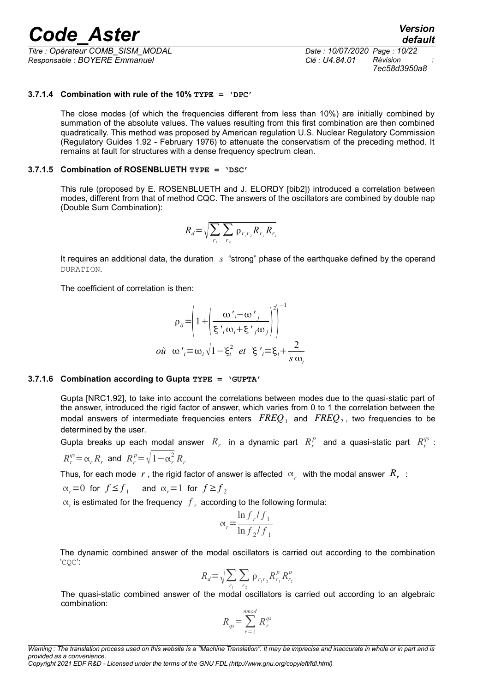*Titre : Opérateur COMB\_SISM\_MODAL Date : 10/07/2020 Page : 10/22 Responsable : BOYERE Emmanuel Clé : U4.84.01 Révision :*

*7ec58d3950a8*

#### **3.7.1.4 Combination with rule of the 10% TYPE = 'DPC'**

The close modes (of which the frequencies different from less than 10%) are initially combined by summation of the absolute values. The values resulting from this first combination are then combined quadratically. This method was proposed by American regulation U.S. Nuclear Regulatory Commission (Regulatory Guides 1.92 - February 1976) to attenuate the conservatism of the preceding method. It remains at fault for structures with a dense frequency spectrum clean.

#### **3.7.1.5 Combination of ROSENBLUETH TYPE = 'DSC'**

This rule (proposed by E. ROSENBLUETH and J. ELORDY [bib2]) introduced a correlation between modes, different from that of method CQC. The answers of the oscillators are combined by double nap (Double Sum Combination):

$$
R_d = \sqrt{\sum_{r_1} \sum_{r_2} \rho_{r_1 r_2} R_{r_1} R_{r_2}}
$$

It requires an additional data, the duration *s* "strong" phase of the earthquake defined by the operand DURATION.

The coefficient of correlation is then:

$$
\rho_{ij} = \left(1 + \left(\frac{\omega'_{i} - \omega'_{j}}{\xi'_{i} \omega_{i} + \xi'_{j} \omega_{j}}\right)^{2}\right)^{-1}
$$
  
on  $\omega'_{i} = \omega_{i} \sqrt{1 - \xi_{i}^{2}}$  et  $\xi'_{i} = \xi_{i} + \frac{2}{s \omega_{i}}$ 

#### **3.7.1.6 Combination according to Gupta TYPE = 'GUPTA'**

Gupta [NRC1.92], to take into account the correlations between modes due to the quasi-static part of the answer, introduced the rigid factor of answer, which varies from 0 to 1 the correlation between the modal answers of intermediate frequencies enters  $\it{FREQ}_1$  and  $\it{FREQ}_2$ , two frequencies to be determined by the user.

Gupta breaks up each modal answer  $R_r$  in a dynamic part  $R_r^p$  and a quasi-static part  $R_r^{qs}$ :

$$
R_r^{qs} = \alpha_r R_r
$$
 and  $R_r^p = \sqrt{1 - \alpha_r^2} R_r$ 

Thus, for each mode  $\;r$  , the rigid factor of answer is affected  $\;\propto_r\;$  with the modal answer  $\;R_r\;$  :

$$
\alpha_r = 0 \text{ for } f \le f_1 \quad \text{ and } \alpha_r = 1 \text{ for } f \ge f_2
$$

 $\alpha_r$  is estimated for the frequency  $f_r$  according to the following formula:

$$
\alpha_r = \frac{\ln f_r/f_1}{\ln f_2/f_1}
$$

The dynamic combined answer of the modal oscillators is carried out according to the combination 'CQC':

$$
R_d = \sqrt{\sum_{r_1} \sum_{r_2} \rho_{r_1 r_2} R_{r_1}^p R_{r_2}^p}
$$

The quasi-static combined answer of the modal oscillators is carried out according to an algebraic combination:

$$
R_{qs} = \sum_{r=1}^{nmod} R_r^{qs}
$$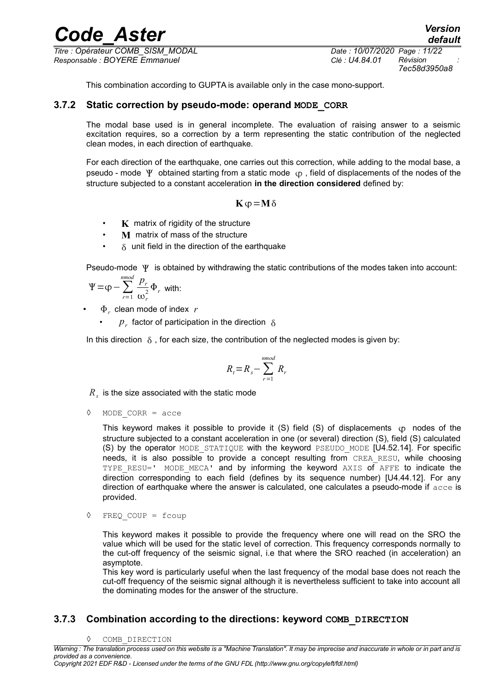*Titre : Opérateur COMB\_SISM\_MODAL Date : 10/07/2020 Page : 11/22 Responsable : BOYERE Emmanuel Clé : U4.84.01 Révision :*

*7ec58d3950a8*

*default*

This combination according to GUPTA is available only in the case mono-support.

#### **3.7.2 Static correction by pseudo-mode: operand MODE\_CORR**

The modal base used is in general incomplete. The evaluation of raising answer to a seismic excitation requires, so a correction by a term representing the static contribution of the neglected clean modes, in each direction of earthquake.

For each direction of the earthquake, one carries out this correction, while adding to the modal base, a pseudo - mode  $\Psi$  obtained starting from a static mode  $\varphi$ , field of displacements of the nodes of the structure subjected to a constant acceleration **in the direction considered** defined by:

$$
K\phi = M\delta
$$

- **K** matrix of rigidity of the structure
- **M** matrix of mass of the structure
- $\cdot$   $\delta$  unit field in the direction of the earthquake

Pseudo-mode  $\Psi$  is obtained by withdrawing the static contributions of the modes taken into account:

$$
\Psi = \varphi - \sum_{r=1}^{n \mod} \frac{p_r}{\omega_r^2} \Phi_r
$$
 with:

•  $\Phi_r$  clean mode of index  $r$ 

•  $p_r$  factor of participation in the direction  $\delta$ 

In this direction  $\delta$ , for each size, the contribution of the neglected modes is given by:

$$
R_t\!=\!R_s\!-\!\sum_{r=1}^{nmod}R_r
$$

 $R_{_S}$  is the size associated with the static mode

◊ MODE\_CORR = acce

This keyword makes it possible to provide it  $(S)$  field  $(S)$  of displacements  $(p \text{ nodes of the})$ structure subjected to a constant acceleration in one (or several) direction (S), field (S) calculated (S) by the operator MODE STATIQUE with the keyword PSEUDO MODE [U4.52.14]. For specific needs, it is also possible to provide a concept resulting from CREA RESU, while choosing TYPE RESU=' MODE MECA' and by informing the keyword AXIS of AFFE to indicate the direction corresponding to each field (defines by its sequence number) [U4.44.12]. For any direction of earthquake where the answer is calculated, one calculates a pseudo-mode if acce is provided.

◊ FREQ\_COUP = fcoup

This keyword makes it possible to provide the frequency where one will read on the SRO the value which will be used for the static level of correction. This frequency corresponds normally to the cut-off frequency of the seismic signal, i.e that where the SRO reached (in acceleration) an asymptote.

This key word is particularly useful when the last frequency of the modal base does not reach the cut-off frequency of the seismic signal although it is nevertheless sufficient to take into account all the dominating modes for the answer of the structure.

#### **3.7.3 Combination according to the directions: keyword COMB\_DIRECTION**

◊ COMB\_DIRECTION

*Warning : The translation process used on this website is a "Machine Translation". It may be imprecise and inaccurate in whole or in part and is provided as a convenience.*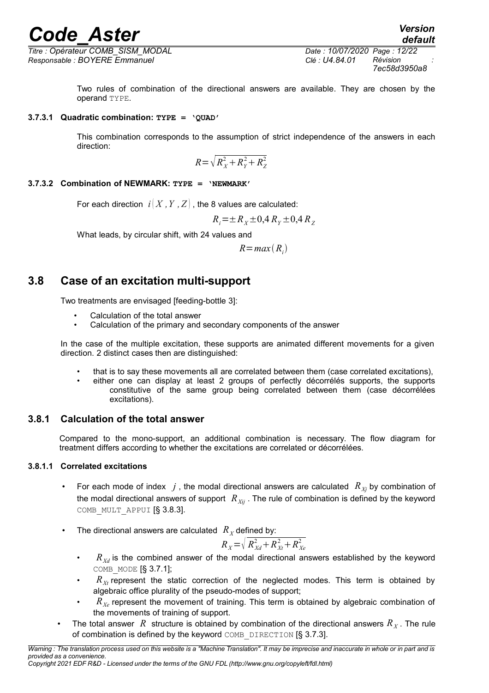*Titre : Opérateur COMB\_SISM\_MODAL Date : 10/07/2020 Page : 12/22 Responsable : BOYERE Emmanuel Clé : U4.84.01 Révision :*

*default*

Two rules of combination of the directional answers are available. They are chosen by the operand TYPE.

#### **3.7.3.1 Quadratic combination: TYPE = 'QUAD'**

This combination corresponds to the assumption of strict independence of the answers in each direction:

$$
R = \sqrt{R_X^2 + R_Y^2 + R_Z^2}
$$

### **3.7.3.2 Combination of NEWMARK: TYPE = 'NEWMARK'**

For each direction  $i(X, Y, Z)$ , the 8 values are calculated:

$$
R_i = \pm R_X \pm 0.4 R_Y \pm 0.4 R_Z
$$

What leads, by circular shift, with 24 values and

 $R = max(R_i)$ 

## **3.8 Case of an excitation multi-support**

Two treatments are envisaged [feeding-bottle 3]:

- Calculation of the total answer
- Calculation of the primary and secondary components of the answer

In the case of the multiple excitation, these supports are animated different movements for a given direction. 2 distinct cases then are distinguished:

- that is to say these movements all are correlated between them (case correlated excitations),
- either one can display at least 2 groups of perfectly décorrélés supports, the supports constitutive of the same group being correlated between them (case décorrélées excitations).

### **3.8.1 Calculation of the total answer**

Compared to the mono-support, an additional combination is necessary. The flow diagram for treatment differs according to whether the excitations are correlated or décorrélées.

### **3.8.1.1 Correlated excitations**

- For each mode of index  $j$ , the modal directional answers are calculated  $R_{\chi_i}$  by combination of the modal directional answers of support  $R_{Xii}$ . The rule of combination is defined by the keyword COMB MULT APPUI [§ 3.8.3].
- The directional answers are calculated  $R_X$  defined by:

$$
R_{X} = \sqrt{R_{Xd}^2 + R_{Xt}^2 + R_{Xe}^2}
$$

- $R_{X_d}$  is the combined answer of the modal directional answers established by the keyword COMB\_MODE [§ 3.7.1];
- $R_{Xt}$  represent the static correction of the neglected modes. This term is obtained by algebraic office plurality of the pseudo-modes of support;
- *RXe* represent the movement of training. This term is obtained by algebraic combination of the movements of training of support.
- The total answer  $R$  structure is obtained by combination of the directional answers  $R_X$ . The rule of combination is defined by the keyword COMB DIRECTION [§ 3.7.3].

*Warning : The translation process used on this website is a "Machine Translation". It may be imprecise and inaccurate in whole or in part and is provided as a convenience.*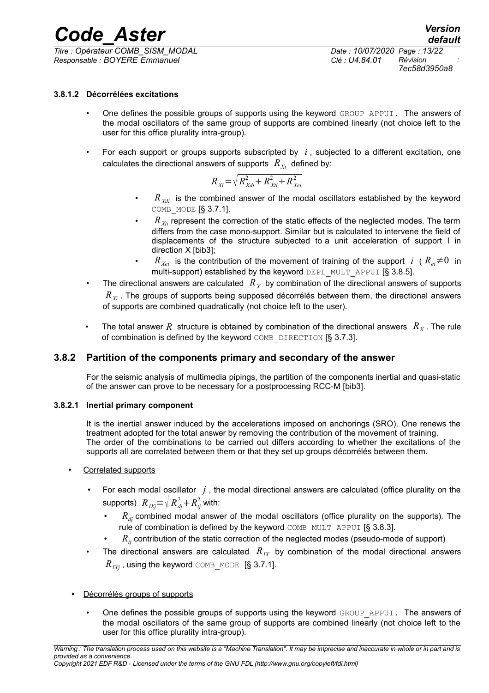*Code\_Aster Version Titre : Opérateur COMB\_SISM\_MODAL Date : 10/07/2020 Page : 13/22*

#### **3.8.1.2 Décorrélées excitations**

- One defines the possible groups of supports using the keyword GROUP APPUI. The answers of the modal oscillators of the same group of supports are combined linearly (not choice left to the user for this office plurality intra-group).
- For each support or groups supports subscripted by *i* , subjected to a different excitation, one calculates the directional answers of supports  $R_{X_i}$  defined by:

$$
R_{Xi} = \sqrt{R_{Xdi}^2 + R_{Xti}^2 + R_{Xei}^2}
$$

- $R_{Xdi}$  is the combined answer of the modal oscillators established by the keyword COMB\_MODE [§ 3.7.1].
- $R_{\chi_{ti}}$  represent the correction of the static effects of the neglected modes. The term differs from the case mono-support. Similar but is calculated to intervene the field of displacements of the structure subjected to a unit acceleration of support I in direction X [bib3];
- $R_{X_{e i}}$  is the contribution of the movement of training of the support *i* ( $R_{e i} \neq 0$  in multi-support) established by the keyword DEPL\_MULT\_APPUI [§ 3.8.5].
- The directional answers are calculated  $\ R_X$  by combination of the directional answers of supports *RXi* . The groups of supports being supposed décorrélés between them, the directional answers
- The total answer  $R$  structure is obtained by combination of the directional answers  $\ R_{\overline{X}}$ . The rule of combination is defined by the keyword COMB DIRECTION [§ 3.7.3].

### **3.8.2 Partition of the components primary and secondary of the answer**

of supports are combined quadratically (not choice left to the user).

For the seismic analysis of multimedia pipings, the partition of the components inertial and quasi-static of the answer can prove to be necessary for a postprocessing RCC-M [bib3].

#### **3.8.2.1 Inertial primary component**

It is the inertial answer induced by the accelerations imposed on anchorings (SRO). One renews the treatment adopted for the total answer by removing the contribution of the movement of training. The order of the combinations to be carried out differs according to whether the excitations of the supports all are correlated between them or that they set up groups décorrélés between them.

- Correlated supports
	- For each modal oscillator  $j$ , the modal directional answers are calculated (office plurality on the supports)  $\; R_{\textit{IXj}}{=}\sqrt{R_{\textit{dj}}^2{+}\textit{R}_{\textit{tj}}^2}$  with:
		- $R_{di}$  combined modal answer of the modal oscillators (office plurality on the supports). The rule of combination is defined by the keyword COMB\_MULT\_APPUI [§ 3.8.3].
		- $R<sub>t</sub>$  contribution of the static correction of the neglected modes (pseudo-mode of support)
	- The directional answers are calculated  $R_{IX}$  by combination of the modal directional answers  $R_{IXi}$ , using the keyword COMB MODE [§ 3.7.1].

#### • Décorrélés groups of supports

One defines the possible groups of supports using the keyword GROUP APPUI. The answers of the modal oscillators of the same group of supports are combined linearly (not choice left to the user for this office plurality intra-group).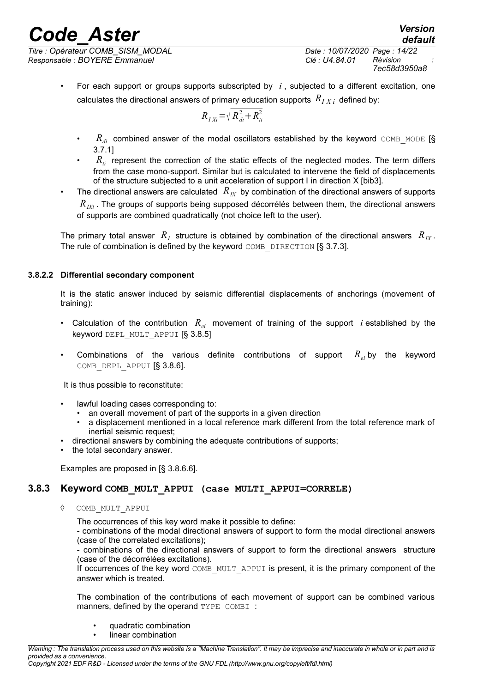*Titre : Opérateur COMB\_SISM\_MODAL Date : 10/07/2020 Page : 14/22 Responsable : BOYERE Emmanuel Clé : U4.84.01 Révision :*

*7ec58d3950a8*

*default*

• For each support or groups supports subscripted by *i* , subjected to a different excitation, one calculates the directional answers of primary education supports  $\overline{R}_{IXi}$  defined by:

$$
R_{IXi} = \sqrt{R_{di}^2 + R_{ti}^2}
$$

- $R_{di}$  combined answer of the modal oscillators established by the keyword COMB MODE [§ 3.7.1]
- $R_{ti}$  represent the correction of the static effects of the neglected modes. The term differs from the case mono-support. Similar but is calculated to intervene the field of displacements of the structure subjected to a unit acceleration of support I in direction X [bib3].
- The directional answers are calculated *RIX* by combination of the directional answers of supports *R<sub>IXi</sub>*. The groups of supports being supposed décorrélés between them, the directional answers of supports are combined quadratically (not choice left to the user).

The primary total answer  $\ R_I$  structure is obtained by combination of the directional answers  $\ R_{I\!X}$ . The rule of combination is defined by the keyword COMB DIRECTION [§ 3.7.3].

#### **3.8.2.2 Differential secondary component**

It is the static answer induced by seismic differential displacements of anchorings (movement of training):

- Calculation of the contribution *Rei* movement of training of the support *i* established by the keyword DEPL\_MULT\_APPUI [§ 3.8.5]
- Combinations of the various definite contributions of support  $R_{e_i}$  by the keyword COMB DEPL APPUI [§ 3.8.6].

It is thus possible to reconstitute:

- lawful loading cases corresponding to:
	- an overall movement of part of the supports in a given direction
	- a displacement mentioned in a local reference mark different from the total reference mark of inertial seismic request;
- directional answers by combining the adequate contributions of supports;
- the total secondary answer.

Examples are proposed in [§ 3.8.6.6].

#### **3.8.3 Keyword COMB\_MULT\_APPUI (case MULTI\_APPUI=CORRELE)**

COMB\_MULT\_APPUI

The occurrences of this key word make it possible to define:

- combinations of the modal directional answers of support to form the modal directional answers (case of the correlated excitations);

- combinations of the directional answers of support to form the directional answers structure (case of the décorrélées excitations).

If occurrences of the key word COMB\_MULT\_APPUI is present, it is the primary component of the answer which is treated.

The combination of the contributions of each movement of support can be combined various manners, defined by the operand TYPE\_COMBI :

- quadratic combination
- linear combination

*Warning : The translation process used on this website is a "Machine Translation". It may be imprecise and inaccurate in whole or in part and is provided as a convenience.*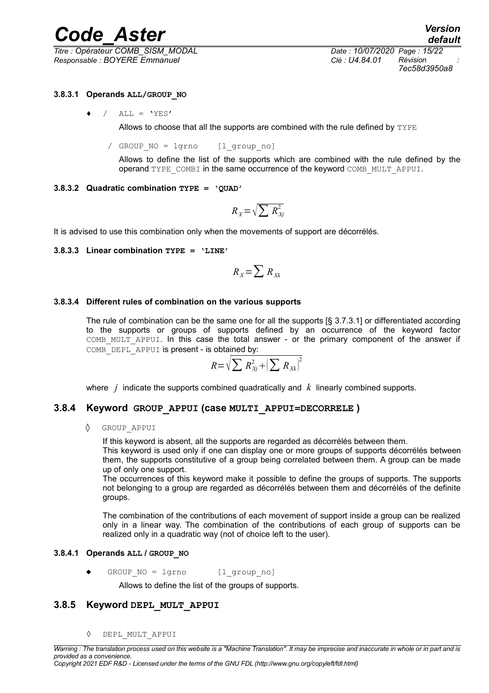*Titre : Opérateur COMB\_SISM\_MODAL Date : 10/07/2020 Page : 15/22 Responsable : BOYERE Emmanuel Clé : U4.84.01 Révision :*

*7ec58d3950a8*

#### **3.8.3.1 Operands ALL/GROUP\_NO**

 $/$  ALL = 'YES'

Allows to choose that all the supports are combined with the rule defined by  $TYPE$ 

/ GROUP NO = lgrno [l group no]

Allows to define the list of the supports which are combined with the rule defined by the operand TYPE\_COMBI in the same occurrence of the keyword COMB\_MULT\_APPUI.

#### **3.8.3.2 Quadratic combination TYPE = 'QUAD'**

$$
R_{X} = \sqrt{\sum R_{Xj}^{2}}
$$

It is advised to use this combination only when the movements of support are décorrélés.

#### **3.8.3.3 Linear combination TYPE = 'LINE'**

$$
R_{X} = \sum R_{Xk}
$$

#### **3.8.3.4 Different rules of combination on the various supports**

The rule of combination can be the same one for all the supports [§ 3.7.3.1] or differentiated according to the supports or groups of supports defined by an occurrence of the keyword factor COMB\_MULT\_APPUI. In this case the total answer - or the primary component of the answer if COMB DEPL APPUI is present - is obtained by:

$$
R = \sqrt{\sum R_{Xj}^2 + \left(\sum R_{Xk}\right)^2}
$$

where *j* indicate the supports combined quadratically and *k* linearly combined supports.

#### **3.8.4 Keyword GROUP\_APPUI (case MULTI\_APPUI=DECORRELE )**

 $\Diamond$  GROUP APPUI

If this keyword is absent, all the supports are regarded as décorrélés between them.

This keyword is used only if one can display one or more groups of supports décorrélés between them, the supports constitutive of a group being correlated between them. A group can be made up of only one support.

The occurrences of this keyword make it possible to define the groups of supports. The supports not belonging to a group are regarded as décorrélés between them and décorrélés of the definite groups.

The combination of the contributions of each movement of support inside a group can be realized only in a linear way. The combination of the contributions of each group of supports can be realized only in a quadratic way (not of choice left to the user).

#### **3.8.4.1 Operands ALL / GROUP\_NO**

GROUP NO = lgrno [l group no]

Allows to define the list of the groups of supports.

#### **3.8.5 Keyword DEPL\_MULT\_APPUI**

◊ DEPL\_MULT\_APPUI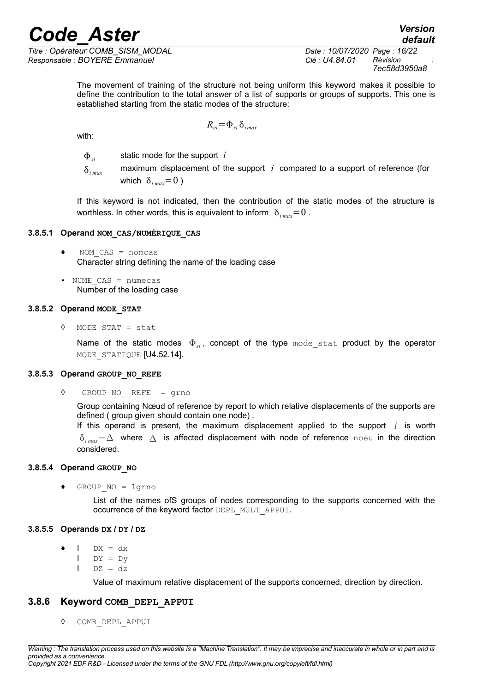with:

*Titre : Opérateur COMB\_SISM\_MODAL Date : 10/07/2020 Page : 16/22 Responsable : BOYERE Emmanuel Clé : U4.84.01 Révision :*

The movement of training of the structure not being uniform this keyword makes it possible to define the contribution to the total answer of a list of supports or groups of supports. This one is established starting from the static modes of the structure:

$$
R_{ei} = \Phi_{si} \, \delta_{imax}
$$

*si* static mode for the support *i*

 $\delta_{i,max}$  maximum displacement of the support *i* compared to a support of reference (for which  $\delta_{i \text{max}} = 0$ )

If this keyword is not indicated, then the contribution of the static modes of the structure is worthless. In other words, this is equivalent to inform  $\delta_{i_{max}} = 0$ .

#### **3.8.5.1 Operand NOM\_CAS/NUMÉRIQUE\_CAS**

- $NOM$   $CAS$  = nomcas Character string defining the name of the loading case
- NUME\_CAS = numecas Number of the loading case

#### **3.8.5.2 Operand MODE\_STAT**

◊ MODE\_STAT = stat

Name of the static modes  $\Phi_{si}$ , concept of the type mode stat product by the operator MODE STATIQUE [U4.52.14].

#### **3.8.5.3 Operand GROUP\_NO\_REFE**

◊ GROUP\_NO\_ REFE = grno

Group containing Nœud of reference by report to which relative displacements of the supports are defined ( group given should contain one node) .

If this operand is present, the maximum displacement applied to the support  $i$  is worth *δ*<sub>*imax</sub>*−∆ where ∆ is affected displacement with node of reference noeu in the direction</sub> considered.

#### **3.8.5.4 Operand GROUP\_NO**

♦ GROUP\_NO = lgrno

List of the names ofS groups of nodes corresponding to the supports concerned with the occurrence of the keyword factor DEPL\_MULT\_APPUI.

#### **3.8.5.5 Operands DX / DY / DZ**

- $\bullet$  I DX = dx
	- $I$  DY = Dv
	- $I$  DZ = dz

Value of maximum relative displacement of the supports concerned, direction by direction.

#### **3.8.6 Keyword COMB\_DEPL\_APPUI**

◊ COMB\_DEPL\_APPUI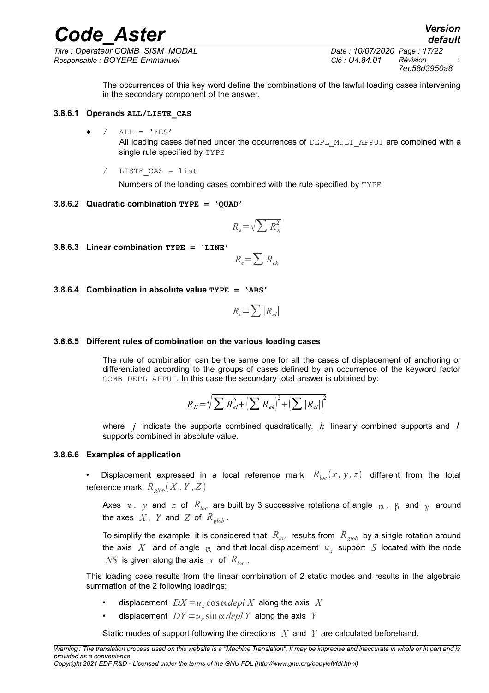*Titre : Opérateur COMB\_SISM\_MODAL Date : 10/07/2020 Page : 17/22 Responsable : BOYERE Emmanuel Clé : U4.84.01 Révision :*

*7ec58d3950a8*

The occurrences of this key word define the combinations of the lawful loading cases intervening in the secondary component of the answer.

#### **3.8.6.1 Operands ALL/LISTE\_CAS**

 $/$  ALL = 'YES'

All loading cases defined under the occurrences of DEPL MULT\_APPUI are combined with a single rule specified by TYPE

/ LISTE\_CAS = list

Numbers of the loading cases combined with the rule specified by TYPE

#### **3.8.6.2 Quadratic combination TYPE = 'QUAD'**

$$
R_e = \sqrt{\sum R_{ej}^2}
$$

**3.8.6.3 Linear combination TYPE = 'LINE'**

$$
R_e = \sum R_{ek}
$$

#### **3.8.6.4 Combination in absolute value TYPE = 'ABS'**

$$
R_e = \sum |R_{el}|
$$

#### **3.8.6.5 Different rules of combination on the various loading cases**

The rule of combination can be the same one for all the cases of displacement of anchoring or differentiated according to the groups of cases defined by an occurrence of the keyword factor COMB DEPL APPUI. In this case the secondary total answer is obtained by:

$$
R_{II} = \sqrt{\sum R_{ej}^{2} + (\sum R_{ek})^{2} + (\sum |R_{el}|)^{2}}
$$

where *j* indicate the supports combined quadratically, *k* linearly combined supports and *l* supports combined in absolute value.

#### **3.8.6.6 Examples of application**

Displacement expressed in a local reference mark  $R_{loc}(x, y, z)$  different from the total reference mark  $R_{glob}(X, Y, Z)$ 

Axes x, y and z of  $R_{loc}$  are built by 3 successive rotations of angle  $\alpha$ ,  $\beta$  and  $\gamma$  around the axes  $X$ ,  $Y$  and  $Z$  of  $R_{glob}$ .

To simplify the example, it is considered that  $R_{loc}$  results from  $R_{glob}$  by a single rotation around the axis  $|X|$  and of angle  $|\alpha|$  and that local displacement  $|u_x|$  support  $|S|$  located with the node *NS* is given along the axis  $x$  of  $R_{loc}$ .

This loading case results from the linear combination of 2 static modes and results in the algebraic summation of the 2 following loadings:

- displacement  $DX = u_x \cos \alpha \, depl X$  along the axis X
- displacement  $DY = u_x \sin \alpha \, depl Y$  along the axis *Y*

Static modes of support following the directions *X* and *Y* are calculated beforehand.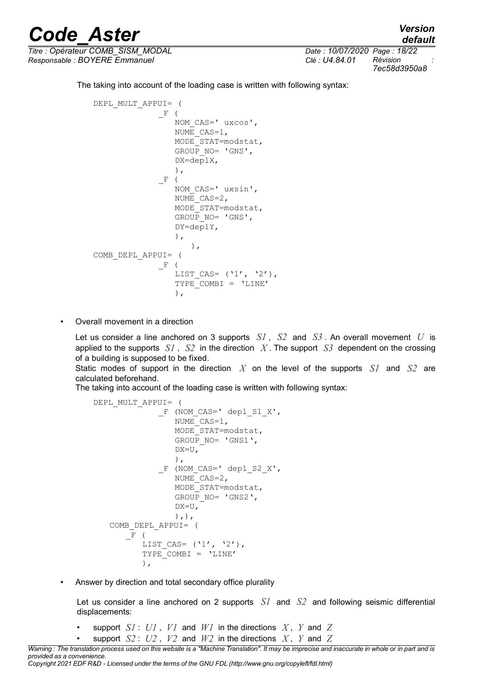*Titre : Opérateur COMB\_SISM\_MODAL Date : 10/07/2020 Page : 18/22 Responsable : BOYERE Emmanuel Clé : U4.84.01 Révision :*

*7ec58d3950a8*

The taking into account of the loading case is written with following syntax:

```
DEPL_MULT_APPUI= (
              \; F \; (
                 NOM CAS=' uxcos',
                 NUME CASE=1,
                 MODE_STAT=modstat, 
                 GROUP NO= 'GNS',
                 DX=deplX,
                 ),
              -F (
                 NOM_CAS=' uxsin',
                 NUME_CAS=2,
                 MODE_STAT=modstat, 
                 GROUP_NO= 'GNS',
                 DY=deplY,),
                     ),
COMB_DEPL_APPUI= (
              -F (
                 LIST CAS= ('1', '2'),
                 TYPE COMBI = 'LINE'),
```
• Overall movement in a direction

Let us consider a line anchored on 3 supports *S1* , *S2* and *S3* . An overall movement *U* is applied to the supports  $SI$ ,  $S2$  in the direction X. The support  $S3$  dependent on the crossing of a building is supposed to be fixed.

Static modes of support in the direction *X* on the level of the supports *S1* and *S2* are calculated beforehand.

The taking into account of the loading case is written with following syntax:

```
DEPL_MULT_APPUI= (
             F (NOM_CAS=' depl S1 X',
                 NUME CAS=1,
                 MODE_STAT=modstat, 
                 GROUP NO= 'GNS1',
                 DX=U,
                 ),
              _F (NOM_CAS=' depl_S2_X',
                 NUME_CAS=2,
                 MODE_STAT=modstat, 
                 GROUP_NO= 'GNS2',
                 DX=U,
                 ),),
   COMB_DEPL_APPUI= (
       _F (
          LIST CAS= ('1', '2'),
          TYPE_COMBI = 'LINE'
          ),
```
• Answer by direction and total secondary office plurality

Let us consider a line anchored on 2 supports *S1* and *S2* and following seismic differential displacements:

- support  $SI: UI$ ,  $VI$  and  $WI$  in the directions  $X, Y$  and  $Z$
- support  $S2: U2$ ,  $V2$  and  $W2$  in the directions  $X$ ,  $Y$  and  $Z$

*default*

*Warning : The translation process used on this website is a "Machine Translation". It may be imprecise and inaccurate in whole or in part and is provided as a convenience.*

*Copyright 2021 EDF R&D - Licensed under the terms of the GNU FDL (http://www.gnu.org/copyleft/fdl.html)*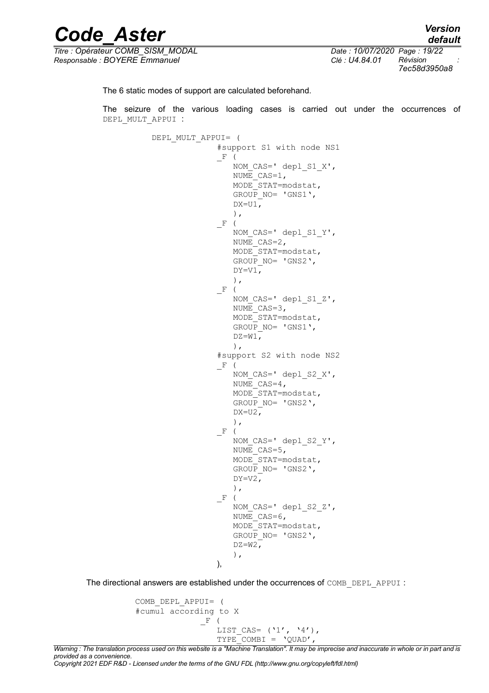| <b>Code Aster</b>                 |                              | <b>Version</b><br>default |  |
|-----------------------------------|------------------------------|---------------------------|--|
| Titre : Opérateur COMB SISM MODAL | Date: 10/07/2020 Page: 19/22 |                           |  |
| Responsable : BOYERE Emmanuel     | Clé : U4.84.01               | Révision                  |  |

*7ec58d3950a8*

The 6 static modes of support are calculated beforehand.

The seizure of the various loading cases is carried out under the occurrences of DEPL\_MULT\_APPUI :

```
DEPL_MULT_APPUI= (
              #support S1 with node NS1
              -F (
                 NOM CAS=' depl S1 X',
                 NUME CAS=1,
                 MODE_STAT=modstat, 
                 GROUP NO= 'GNS1',DX=U1,
                 ),
              -F (
                 NOM CAS=' depl S1 Y',
                 NUME CASE=2,
                 MODE_STAT=modstat, 
                 GROUP_NO= 'GNS2',
                 DY=VI,
                 ),
              -F (
                 NOM CAS=' depl S1 Z',
                 NUME CASE=3,
                 MODE_STAT=modstat, 
                 GROUP NO= 'GNSI',
                 DZ=W1,
                 ),
              #support S2 with node NS2
              F (
                 NOM CAS=' depl S2 X',
                 NUME CASE=4,
                 MODE_STAT=modstat, 
                 GROUP NO= 'GNS2',
                 DX=U2,
                 ),
              -F (
                 NOM_CAS=' depl_S2_Y',
                 NUME CAS=5,
                 MODE_STAT=modstat, 
                 GROUP NO= 'GNS2',DY=V2,
                 ),
              _F (
                 NOM_CAS=' depl_S2_Z',
                 NUME CASE=6,
                 MODE_STAT=modstat, 
                 GROUP NO= 'GNS2',DZ=W2,
                 ),
              ),
```
The directional answers are established under the occurrences of COMB\_DEPL\_APPUI :

```
COMB_DEPL_APPUI= (
#cumul according to X
              _F (
                 LIST CAS= ('1', '4'),
                 TYPE COMBI = 'QUAD',
```
*Warning : The translation process used on this website is a "Machine Translation". It may be imprecise and inaccurate in whole or in part and is provided as a convenience.*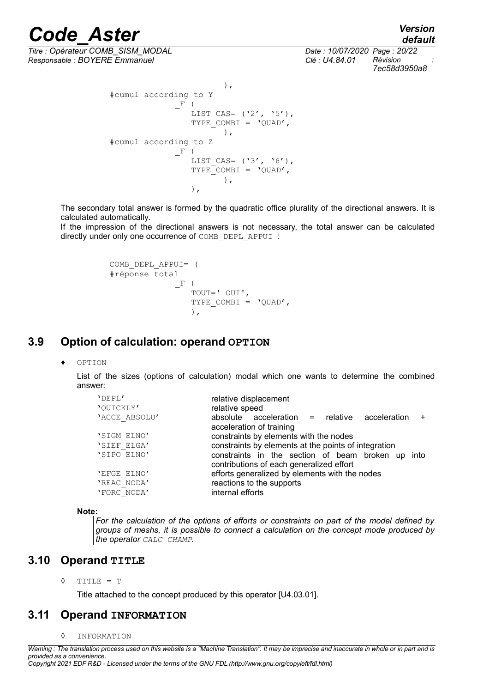*default*

*Titre : Opérateur COMB\_SISM\_MODAL Date : 10/07/2020 Page : 20/22 Responsable : BOYERE Emmanuel Clé : U4.84.01 Révision :*

*7ec58d3950a8*

```
),
#cumul according to Y
              _F (
                 LIST CAS= ('2', '5'),
                 TYPE COMBI = 'OUAD',
                        ),
#cumul according to Z
              -F (
                 LIST CAS= ('3', '6'),
                 TYPE COMBI = 'QUAD',
                       ),
                 ),
```
The secondary total answer is formed by the quadratic office plurality of the directional answers. It is calculated automatically.

If the impression of the directional answers is not necessary, the total answer can be calculated directly under only one occurrence of COMB\_DEPL\_APPUI :

```
COMB_DEPL_APPUI= (
#réponse total
              _F (
                 TOUT=' OUI',
                 TYPE COMBI = 'OUAD',
                 ),
```
## **3.9 Option of calculation: operand OPTION**

OPTION

List of the sizes (options of calculation) modal which one wants to determine the combined answer:

| 'DEPL'        | relative displacement                                                                         |
|---------------|-----------------------------------------------------------------------------------------------|
| 'QUICKLY'     | relative speed                                                                                |
| 'ACCE ABSOLU' | $absolute$ acceleration = relative acceleration<br>$\pm$<br>acceleration of training          |
| 'SIGM ELNO'   | constraints by elements with the nodes                                                        |
| 'SIEF ELGA'   | constraints by elements at the points of integration                                          |
| 'SIPO ELNO'   | constraints in the section of beam broken up into<br>contributions of each generalized effort |
| 'EFGE ELNO'   | efforts generalized by elements with the nodes                                                |
| 'REAC NODA'   | reactions to the supports                                                                     |
| 'FORC NODA'   | internal efforts                                                                              |

**Note:**

*For the calculation of the options of efforts or constraints on part of the model defined by groups of meshs, it is possible to connect a calculation on the concept mode produced by the operator CALC\_CHAMP.*

### **3.10 Operand TITLE**

◊ TITLE = T

Title attached to the concept produced by this operator [U4.03.01].

## **3.11 Operand INFORMATION**

◊ INFORMATION

*Warning : The translation process used on this website is a "Machine Translation". It may be imprecise and inaccurate in whole or in part and is provided as a convenience.*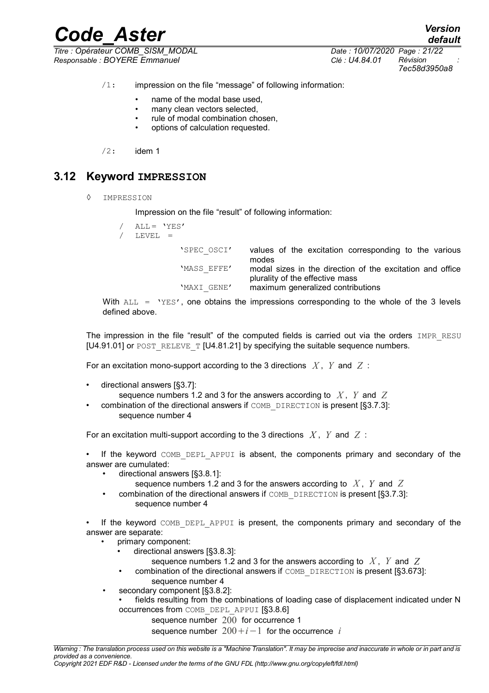*Code\_Aster Version Titre : Opérateur COMB\_SISM\_MODAL Date : 10/07/2020 Page : 21/22 Responsable : BOYERE Emmanuel Clé : U4.84.01 Révision :*

*default 7ec58d3950a8*

- /1: impression on the file "message" of following information:
	- name of the modal base used.
	- many clean vectors selected.
	- rule of modal combination chosen,
	- options of calculation requested.
- $/2:$  idem 1

## **3.12 Keyword IMPRESSION**

◊ IMPRESSION

Impression on the file "result" of following information:

 $ALL = 'YES'$ LEVEL = 'SPEC\_OSCI' values of the excitation corresponding to the various modes 'MASS EFFE' modal sizes in the direction of the excitation and office plurality of the effective mass 'MAXI\_GENE' maximum generalized contributions

With  $ALL = YES'$ , one obtains the impressions corresponding to the whole of the 3 levels defined above.

The impression in the file "result" of the computed fields is carried out via the orders IMPR RESU [U4.91.01] or POST\_RELEVE\_T [U4.81.21] by specifying the suitable sequence numbers.

For an excitation mono-support according to the 3 directions *X* , *Y* and *Z* :

• directional answers [§3.7]:

sequence numbers 1.2 and 3 for the answers according to *X* , *Y* and *Z*

combination of the directional answers if COMB DIRECTION is present [§3.7.3]: sequence number 4

For an excitation multi-support according to the 3 directions *X* , *Y* and *Z* :

• If the keyword COMB DEPL APPUI is absent, the components primary and secondary of the answer are cumulated:

- directional answers [§3.8.1]:
	- sequence numbers 1.2 and 3 for the answers according to *X* , *Y* and *Z*
- combination of the directional answers if COMB\_DIRECTION is present [§3.7.3]: sequence number 4

If the keyword COMB DEPL APPUI is present, the components primary and secondary of the answer are separate:

- primary component:
	- directional answers [§3.8.3]:
		- sequence numbers 1.2 and 3 for the answers according to *X* , *Y* and *Z*
	- combination of the directional answers if COMB\_DIRECTION is present [§3.673]: sequence number 4
- secondary component [§3.8.2]:
	- fields resulting from the combinations of loading case of displacement indicated under N occurrences from COMB\_DEPL\_APPUI [§3.8.6]
		- sequence number 200 for occurrence 1

sequence number  $200+i-1$  for the occurrence *i*